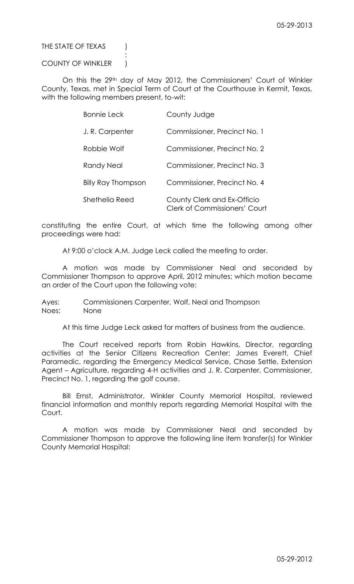# THE STATE OF TEXAS (

## COUNTY OF WINKLER )

:

On this the 29<sup>th</sup> day of May 2012, the Commissioners' Court of Winkler County, Texas, met in Special Term of Court at the Courthouse in Kermit, Texas, with the following members present, to-wit:

| <b>Bonnie Leck</b>        | County Judge                                                        |
|---------------------------|---------------------------------------------------------------------|
| J.R. Carpenter            | Commissioner, Precinct No. 1                                        |
| Robbie Wolf               | Commissioner, Precinct No. 2                                        |
| Randy Neal                | Commissioner, Precinct No. 3                                        |
| <b>Billy Ray Thompson</b> | Commissioner, Precinct No. 4                                        |
| Shethelia Reed            | County Clerk and Ex-Officio<br><b>Clerk of Commissioners' Court</b> |

constituting the entire Court, at which time the following among other proceedings were had:

At 9:00 o'clock A.M. Judge Leck called the meeting to order.

A motion was made by Commissioner Neal and seconded by Commissioner Thompson to approve April, 2012 minutes; which motion became an order of the Court upon the following vote:

Ayes: Commissioners Carpenter, Wolf, Neal and Thompson Noes: None

At this time Judge Leck asked for matters of business from the audience.

The Court received reports from Robin Hawkins, Director, regarding activities at the Senior Citizens Recreation Center; James Everett, Chief Paramedic, regarding the Emergency Medical Service, Chase Settle, Extension Agent – Agriculture, regarding 4-H activities and J. R. Carpenter, Commissioner, Precinct No. 1, regarding the golf course.

Bill Ernst, Administrator, Winkler County Memorial Hospital, reviewed financial information and monthly reports regarding Memorial Hospital with the Court.

A motion was made by Commissioner Neal and seconded by Commissioner Thompson to approve the following line item transfer(s) for Winkler County Memorial Hospital: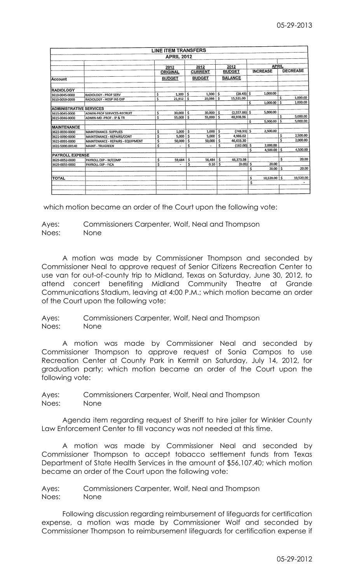|                                |                                    |                         | <b>LINE ITEM TRANSFERS</b> |                        |               |                       |                          |                 |              |                 |                      |
|--------------------------------|------------------------------------|-------------------------|----------------------------|------------------------|---------------|-----------------------|--------------------------|-----------------|--------------|-----------------|----------------------|
|                                |                                    |                         | <b>APRIL 2012</b>          |                        |               |                       |                          |                 |              |                 |                      |
|                                |                                    | 2012<br><b>ORIGINAL</b> |                            | 2012<br><b>CURRENT</b> |               | 2012<br><b>BUDGET</b> |                          | <b>APRIL</b>    |              |                 |                      |
|                                |                                    |                         |                            |                        |               |                       |                          | <b>INCREASE</b> |              | <b>DECREASE</b> |                      |
| <b>Account</b>                 |                                    |                         | <b>BUDGET</b>              |                        | <b>BUDGET</b> |                       | <b>BALANCE</b>           |                 |              |                 |                      |
| <b>RADIOLOGY</b>               |                                    |                         |                            |                        |               |                       |                          |                 |              |                 |                      |
| 3610-0045-0000                 | <b>RADIOLOGY - PROF SERV</b>       | \$                      | $1,300$ \$                 |                        | 1,300         | \$                    | $(28.43)$ \$             |                 | 1,000.00     |                 |                      |
| 3610-0059-0000                 | RADIOLOGY - HOSP INS EXP           | Ś                       | 21.912                     | $\overline{15}$        | 20.086        | \$                    | 15,521.00                | \$              | 1,000.00     | Ŝ<br>\$         | 1,000.00<br>1,000.00 |
| <b>ADMINISTRATIVE SERVICES</b> |                                    |                         |                            |                        |               |                       |                          |                 |              |                 |                      |
| 3615-0045-0000                 | <b>ADMIN-PROF SERVICES-RECRUIT</b> | \$                      | 30,000                     | \$                     | 30,000        | 15                    | $(2,557.86)$ \$          |                 | 5,000.00     |                 |                      |
| 3615-0046-0000                 | ADMIN-MD-PROF-IP & TR              | Ś                       | 55,000                     | \$                     | 55,000        | \$                    | 48,938.96                | \$              | 5,000.00     | Ŝ<br>Ŝ          | 5,000.00<br>5,000.00 |
| <b>MAINTENANCE</b>             |                                    |                         |                            |                        |               |                       |                          |                 |              |                 |                      |
| 3622-0030-0000                 | <b>MAINTENANCE- SUPPLIES</b>       | \$                      | 1,000                      | \$                     | 1,000         | Ś                     | $(748.93)$ \$            |                 | 2,500.00     |                 |                      |
| 3622-0090-0000                 | MAINTENANCE - REPAIRS/CONT         | \$                      | 5,000                      | \$                     | 5,000         | Ŝ                     | 4,986.02                 |                 |              | \$              | 2,500.00             |
| 3622-0091-0000                 | MAINTENANCE - REPAIRS - EQUIPMENT  | \$                      | 50,000                     | \$                     | 50,000        | Ŝ                     | 46,633.30                |                 |              | Ś               | 2,000.00             |
| 3622-5000-00140                | <b>MAINT - TRUGREEN</b>            | Ŝ                       | $\blacksquare$             | Ś                      |               | Ś                     | $(182.00)$ \$            |                 | 2,000.00     |                 |                      |
|                                |                                    |                         |                            |                        |               |                       |                          | \$.             | 4,500.00     | \$              | 4,500.00             |
| <b>PAYROLL EXPENSE</b>         |                                    |                         |                            |                        |               |                       |                          |                 |              | \$              | 20.00                |
| 3629-0052-0000                 | PAYROLL EXP - W/COMP               | \$                      | 59,684                     | \$.                    | 56,484        | Ŝ                     | 46.373.98<br>$(0.05)$ \$ |                 | 20.00        |                 |                      |
| 3629-0055-0000                 | <b>PAYROLL EXP - FICA</b>          | \$                      | $\blacksquare$             | \$                     | 0.10          | \$                    |                          | Ś               | 20.00        | \$              | 20.00                |
| <b>TOTAL</b>                   |                                    |                         |                            |                        |               |                       |                          | \$              | 10,520.00 \$ |                 | 10,520.00            |
|                                |                                    |                         |                            |                        |               |                       |                          | \$              |              |                 |                      |
|                                |                                    |                         |                            |                        |               |                       |                          |                 |              |                 |                      |

which motion became an order of the Court upon the following vote:

Ayes: Commissioners Carpenter, Wolf, Neal and Thompson Noes: None

A motion was made by Commissioner Thompson and seconded by Commissioner Neal to approve request of Senior Citizens Recreation Center to use van for out-of-county trip to Midland, Texas on Saturday, June 30, 2012, to attend concert benefiting Midland Community Theatre at Grande Communications Stadium, leaving at 4:00 P.M.; which motion became an order of the Court upon the following vote:

Ayes: Commissioners Carpenter, Wolf, Neal and Thompson Noes: None

A motion was made by Commissioner Neal and seconded by Commissioner Thompson to approve request of Sonia Campos to use Recreation Center at County Park in Kermit on Saturday, July 14, 2012, for graduation party; which motion became an order of the Court upon the following vote:

Ayes: Commissioners Carpenter, Wolf, Neal and Thompson Noes: None

Agenda item regarding request of Sheriff to hire jailer for Winkler County Law Enforcement Center to fill vacancy was not needed at this time.

A motion was made by Commissioner Neal and seconded by Commissioner Thompson to accept tobacco settlement funds from Texas Department of State Health Services in the amount of \$56,107.40; which motion became an order of the Court upon the following vote:

Ayes: Commissioners Carpenter, Wolf, Neal and Thompson Noes: None

Following discussion regarding reimbursement of lifeguards for certification expense, a motion was made by Commissioner Wolf and seconded by Commissioner Thompson to reimbursement lifeguards for certification expense if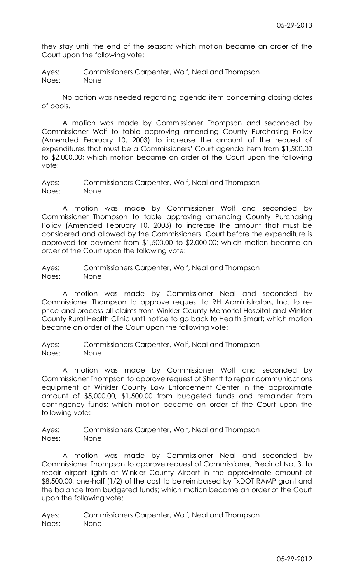they stay until the end of the season; which motion became an order of the Court upon the following vote:

Ayes: Commissioners Carpenter, Wolf, Neal and Thompson Noes: None

No action was needed regarding agenda item concerning closing dates of pools.

A motion was made by Commissioner Thompson and seconded by Commissioner Wolf to table approving amending County Purchasing Policy (Amended February 10, 2003) to increase the amount of the request of expenditures that must be a Commissioners' Court agenda item from \$1,500.00 to \$2,000.00; which motion became an order of the Court upon the following vote:

Ayes: Commissioners Carpenter, Wolf, Neal and Thompson Noes: None

A motion was made by Commissioner Wolf and seconded by Commissioner Thompson to table approving amending County Purchasing Policy (Amended February 10, 2003) to increase the amount that must be considered and allowed by the Commissioners' Court before the expenditure is approved for payment from \$1,500,00 to \$2,000.00; which motion became an order of the Court upon the following vote:

Ayes: Commissioners Carpenter, Wolf, Neal and Thompson Noes: None

A motion was made by Commissioner Neal and seconded by Commissioner Thompson to approve request to RH Administrators, Inc. to reprice and process all claims from Winkler County Memorial Hospital and Winkler County Rural Health Clinic until notice to go back to Health Smart; which motion became an order of the Court upon the following vote:

Ayes: Commissioners Carpenter, Wolf, Neal and Thompson Noes: None

A motion was made by Commissioner Wolf and seconded by Commissioner Thompson to approve request of Sheriff to repair communications equipment at Winkler County Law Enforcement Center in the approximate amount of \$5,000.00, \$1,500.00 from budgeted funds and remainder from contingency funds; which motion became an order of the Court upon the following vote:

Ayes: Commissioners Carpenter, Wolf, Neal and Thompson Noes: None

A motion was made by Commissioner Neal and seconded by Commissioner Thompson to approve request of Commissioner, Precinct No. 3, to repair airport lights at Winkler County Airport in the approximate amount of \$8,500.00, one-half (1/2) of the cost to be reimbursed by TxDOT RAMP grant and the balance from budgeted funds; which motion became an order of the Court upon the following vote: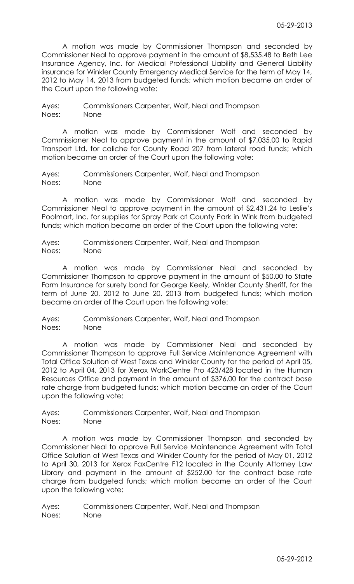A motion was made by Commissioner Thompson and seconded by Commissioner Neal to approve payment in the amount of \$8,535.48 to Beth Lee Insurance Agency, Inc. for Medical Professional Liability and General Liability insurance for Winkler County Emergency Medical Service for the term of May 14, 2012 to May 14, 2013 from budgeted funds; which motion became an order of the Court upon the following vote:

Ayes: Commissioners Carpenter, Wolf, Neal and Thompson Noes: None

A motion was made by Commissioner Wolf and seconded by Commissioner Neal to approve payment in the amount of \$7,035.00 to Rapid Transport Ltd. for caliche for County Road 207 from lateral road funds; which motion became an order of the Court upon the following vote:

Ayes: Commissioners Carpenter, Wolf, Neal and Thompson Noes: None

A motion was made by Commissioner Wolf and seconded by Commissioner Neal to approve payment in the amount of \$2,431.24 to Leslie's Poolmart, Inc. for supplies for Spray Park at County Park in Wink from budgeted funds; which motion became an order of the Court upon the following vote:

Ayes: Commissioners Carpenter, Wolf, Neal and Thompson Noes: None

A motion was made by Commissioner Neal and seconded by Commissioner Thompson to approve payment in the amount of \$50.00 to State Farm Insurance for surety bond for George Keely, Winkler County Sheriff, for the term of June 20, 2012 to June 20, 2013 from budgeted funds; which motion became an order of the Court upon the following vote:

Ayes: Commissioners Carpenter, Wolf, Neal and Thompson Noes: None

A motion was made by Commissioner Neal and seconded by Commissioner Thompson to approve Full Service Maintenance Agreement with Total Office Solution of West Texas and Winkler County for the period of April 05, 2012 to April 04, 2013 for Xerox WorkCentre Pro 423/428 located in the Human Resources Office and payment in the amount of \$376.00 for the contract base rate charge from budgeted funds; which motion became an order of the Court upon the following vote:

Ayes: Commissioners Carpenter, Wolf, Neal and Thompson Noes: None

A motion was made by Commissioner Thompson and seconded by Commissioner Neal to approve Full Service Maintenance Agreement with Total Office Solution of West Texas and Winkler County for the period of May 01, 2012 to April 30, 2013 for Xerox FaxCentre F12 located in the County Attorney Law Library and payment in the amount of \$252.00 for the contract base rate charge from budgeted funds; which motion became an order of the Court upon the following vote: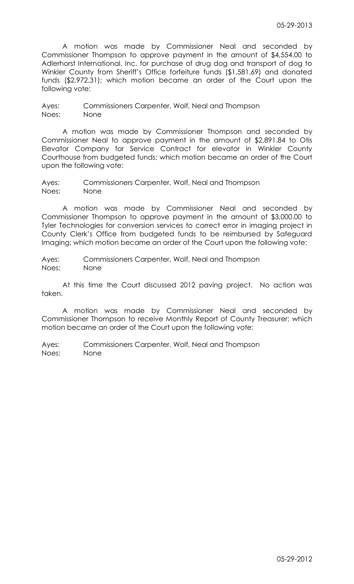A motion was made by Commissioner Neal and seconded by Commissioner Thompson to approve payment in the amount of \$4,554.00 to Adlerhorst International, Inc. for purchase of drug dog and transport of dog to Winkler County from Sheriff's Office forfeiture funds (\$1,581.69) and donated funds (\$2,972.31); which motion became an order of the Court upon the following vote:

Ayes: Commissioners Carpenter, Wolf, Neal and Thompson Noes: None

A motion was made by Commissioner Thompson and seconded by Commissioner Neal to approve payment in the amount of \$2,891.84 to Otis Elevator Company for Service Contract for elevator in Winkler County Courthouse from budgeted funds; which motion became an order of the Court upon the following vote:

Ayes: Commissioners Carpenter, Wolf, Neal and Thompson Noes: None

A motion was made by Commissioner Neal and seconded by Commissioner Thompson to approve payment in the amount of \$3,000.00 to Tyler Technologies for conversion services to correct error in imaging project in County Clerk's Office from budgeted funds to be reimbursed by Safeguard Imaging; which motion became an order of the Court upon the following vote:

Ayes: Commissioners Carpenter, Wolf, Neal and Thompson Noes: None

At this time the Court discussed 2012 paving project. No action was taken.

A motion was made by Commissioner Neal and seconded by Commissioner Thompson to receive Monthly Report of County Treasurer; which motion became an order of the Court upon the following vote: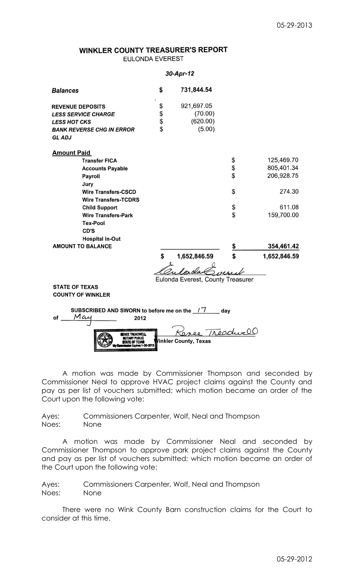# WINKLER COUNTY TREASURER'S REPORT **EULONDA EVEREST**

#### 30-Apr-12

| <b>Balances</b>                                                                            | \$<br>731,844.54                  |     |              |
|--------------------------------------------------------------------------------------------|-----------------------------------|-----|--------------|
| <b>REVENUE DEPOSITS</b>                                                                    | \$<br>921,697.05                  |     |              |
| <b>LESS SERVICE CHARGE</b>                                                                 | (70.00)                           |     |              |
| <b>LESS HOT CKS</b>                                                                        | \$<br>(620.00)                    |     |              |
| <b>BANK REVERSE CHG IN ERROR</b>                                                           | \$<br>(5.00)                      |     |              |
| <b>GL ADJ</b>                                                                              |                                   |     |              |
| <b>Amount Paid</b>                                                                         |                                   |     |              |
| <b>Transfer FICA</b>                                                                       |                                   | \$  | 125,469.70   |
| <b>Accounts Payable</b>                                                                    |                                   | \$  | 805,401.34   |
| Payroll                                                                                    |                                   | \$  | 206,928.75   |
| Jury                                                                                       |                                   |     |              |
| <b>Wire Transfers-CSCD</b>                                                                 |                                   | \$  | 274.30       |
| <b>Wire Transfers-TCDRS</b>                                                                |                                   |     |              |
| <b>Child Support</b>                                                                       |                                   | \$  | 611.08       |
| <b>Wire Transfers-Park</b>                                                                 |                                   | \$  | 159,700.00   |
| <b>Tex-Pool</b>                                                                            |                                   |     |              |
| CD'S                                                                                       |                                   |     |              |
| <b>Hospital in-Out</b>                                                                     |                                   |     |              |
| <b>AMOUNT TO BALANCE</b>                                                                   |                                   |     | 354,461.42   |
|                                                                                            | \$<br>1,652,846.59                |     | 1,652,846.59 |
|                                                                                            |                                   |     |              |
|                                                                                            | Eulonda Everest, County Treasurer |     |              |
| <b>STATE OF TEXAS</b>                                                                      |                                   |     |              |
| <b>COUNTY OF WINKLER</b>                                                                   |                                   |     |              |
| SUBSCRIBED AND SWORN to before me on the 17<br>Mai<br>οf<br>2012<br><b>BENEE TREADWELL</b> | nee Treaduce                      | day |              |

A motion was made by Commissioner Thompson and seconded by Commissioner Neal to approve HVAC project claims against the County and pay as per list of vouchers submitted; which motion became an order of the Court upon the following vote:

inkler County, Texas

Ayes: Commissioners Carpenter, Wolf, Neal and Thompson Noes: None

**NOTARY PUBLE**<br>STATE OF TEXA

A motion was made by Commissioner Neal and seconded by Commissioner Thompson to approve park project claims against the County and pay as per list of vouchers submitted; which motion became an order of the Court upon the following vote:

Ayes: Commissioners Carpenter, Wolf, Neal and Thompson Noes: None

There were no Wink County Barn construction claims for the Court to consider at this time.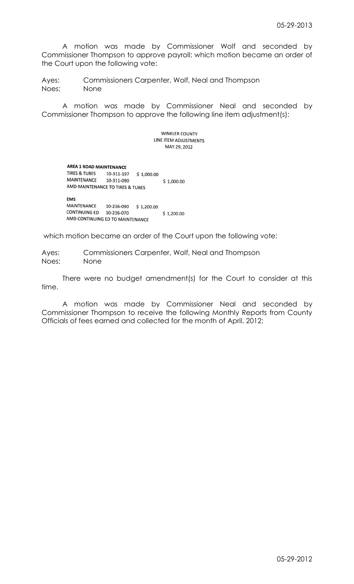A motion was made by Commissioner Wolf and seconded by Commissioner Thompson to approve payroll; which motion became an order of the Court upon the following vote:

Ayes: Commissioners Carpenter, Wolf, Neal and Thompson Noes: None

A motion was made by Commissioner Neal and seconded by Commissioner Thompson to approve the following line item adjustment(s):

> **WINKLER COUNTY** LINE ITEM ADJUSTMENTS MAY 29, 2012

## **AREA 1 ROAD MAINTENANCE**

TIRES & TUBES 10-311-197 \$ 1,000.00 MAINTENANCE 10-311-090 \$1,000.00 AMD-MAINTENANCE TO TIRES & TUBES **EMS** MAINTENANCE 10-236-090 \$1,200.00<br>CONTINUING ED 10-236-070

 $$1,200.00$ AMD-CONTINUING ED TO MAINTENANCE

which motion became an order of the Court upon the following vote:

Ayes: Commissioners Carpenter, Wolf, Neal and Thompson Noes: None

There were no budget amendment(s) for the Court to consider at this time.

A motion was made by Commissioner Neal and seconded by Commissioner Thompson to receive the following Monthly Reports from County Officials of fees earned and collected for the month of April, 2012;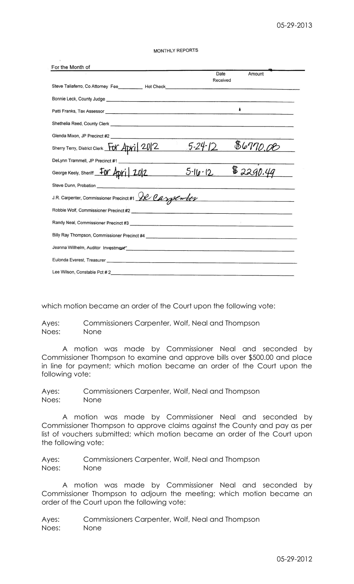| For the Month of                                                                                                                                                                                                                     |                  |                                                                                                                                                                                                                                      |
|--------------------------------------------------------------------------------------------------------------------------------------------------------------------------------------------------------------------------------------|------------------|--------------------------------------------------------------------------------------------------------------------------------------------------------------------------------------------------------------------------------------|
|                                                                                                                                                                                                                                      | Date<br>Received | Amount                                                                                                                                                                                                                               |
| Steve Taliaferro, Co Attorney Fee___________ Hot Check__________________________                                                                                                                                                     |                  |                                                                                                                                                                                                                                      |
|                                                                                                                                                                                                                                      |                  |                                                                                                                                                                                                                                      |
|                                                                                                                                                                                                                                      |                  | ۰                                                                                                                                                                                                                                    |
| Shethelia Reed, County Clerk <u>experience and the contract of the contract of the contract of the contract of the contract of the contract of the contract of the contract of the contract of the contract of the contract of t</u> |                  |                                                                                                                                                                                                                                      |
|                                                                                                                                                                                                                                      |                  |                                                                                                                                                                                                                                      |
| Sherry Terry, District Clerk For April 2012                                                                                                                                                                                          | $.5 - 24 - 12$   | 86770.08                                                                                                                                                                                                                             |
| DeLynn Trammell, JP Precinct #1                                                                                                                                                                                                      |                  |                                                                                                                                                                                                                                      |
| George Keely, Sheriff <b>FOY Apri</b> 202                                                                                                                                                                                            | $5 - 16 - 12$    | \$2290.49                                                                                                                                                                                                                            |
|                                                                                                                                                                                                                                      |                  |                                                                                                                                                                                                                                      |
| J.R. Carpenter, Commissioner Precinct #1 SR Carpenter                                                                                                                                                                                |                  | <u> and a state a state commentary and a state of the state of the state of the state of the state of the state of the state of the state of the state of the state of the state of the state of the state of the state of the s</u> |
|                                                                                                                                                                                                                                      |                  |                                                                                                                                                                                                                                      |
|                                                                                                                                                                                                                                      |                  |                                                                                                                                                                                                                                      |
|                                                                                                                                                                                                                                      |                  |                                                                                                                                                                                                                                      |
| Jeanna Willhelm, Auditor Investment Communication and Communication and Communication and Communication                                                                                                                              |                  |                                                                                                                                                                                                                                      |
|                                                                                                                                                                                                                                      |                  |                                                                                                                                                                                                                                      |
| Lee Wilson, Constable Pct #2                                                                                                                                                                                                         |                  |                                                                                                                                                                                                                                      |

which motion became an order of the Court upon the following vote:

Ayes: Commissioners Carpenter, Wolf, Neal and Thompson Noes: None

A motion was made by Commissioner Neal and seconded by Commissioner Thompson to examine and approve bills over \$500.00 and place in line for payment; which motion became an order of the Court upon the following vote:

Ayes: Commissioners Carpenter, Wolf, Neal and Thompson Noes: None

A motion was made by Commissioner Neal and seconded by Commissioner Thompson to approve claims against the County and pay as per list of vouchers submitted; which motion became an order of the Court upon the following vote:

Ayes: Commissioners Carpenter, Wolf, Neal and Thompson Noes: None

A motion was made by Commissioner Neal and seconded by Commissioner Thompson to adjourn the meeting; which motion became an order of the Court upon the following vote: